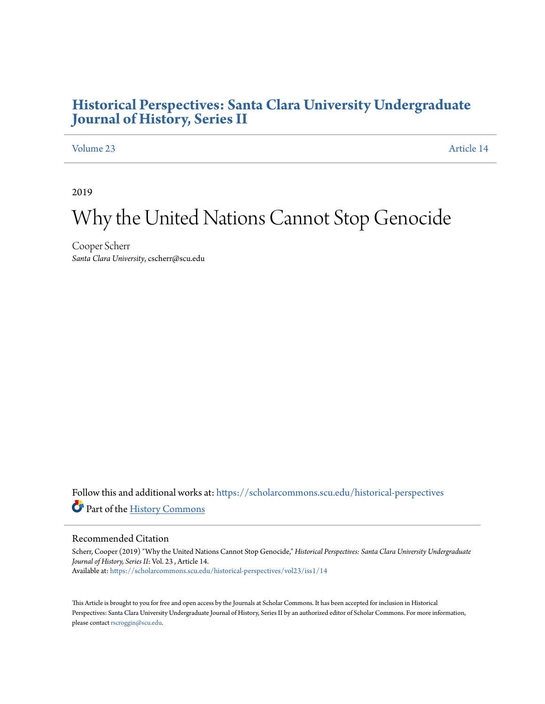### **[Historical Perspectives: Santa Clara University Undergraduate](https://scholarcommons.scu.edu/historical-perspectives?utm_source=scholarcommons.scu.edu%2Fhistorical-perspectives%2Fvol23%2Fiss1%2F14&utm_medium=PDF&utm_campaign=PDFCoverPages) [Journal of History, Series II](https://scholarcommons.scu.edu/historical-perspectives?utm_source=scholarcommons.scu.edu%2Fhistorical-perspectives%2Fvol23%2Fiss1%2F14&utm_medium=PDF&utm_campaign=PDFCoverPages)**

### [Volume 23](https://scholarcommons.scu.edu/historical-perspectives/vol23?utm_source=scholarcommons.scu.edu%2Fhistorical-perspectives%2Fvol23%2Fiss1%2F14&utm_medium=PDF&utm_campaign=PDFCoverPages) [Article 14](https://scholarcommons.scu.edu/historical-perspectives/vol23/iss1/14?utm_source=scholarcommons.scu.edu%2Fhistorical-perspectives%2Fvol23%2Fiss1%2F14&utm_medium=PDF&utm_campaign=PDFCoverPages)

2019

# Why the United Nations Cannot Stop Genocide

Cooper Scherr *Santa Clara University*, cscherr@scu.edu

Follow this and additional works at: [https://scholarcommons.scu.edu/historical-perspectives](https://scholarcommons.scu.edu/historical-perspectives?utm_source=scholarcommons.scu.edu%2Fhistorical-perspectives%2Fvol23%2Fiss1%2F14&utm_medium=PDF&utm_campaign=PDFCoverPages) Part of the [History Commons](http://network.bepress.com/hgg/discipline/489?utm_source=scholarcommons.scu.edu%2Fhistorical-perspectives%2Fvol23%2Fiss1%2F14&utm_medium=PDF&utm_campaign=PDFCoverPages)

#### Recommended Citation

Scherr, Cooper (2019) "Why the United Nations Cannot Stop Genocide," *Historical Perspectives: Santa Clara University Undergraduate Journal of History, Series II*: Vol. 23 , Article 14. Available at: [https://scholarcommons.scu.edu/historical-perspectives/vol23/iss1/14](https://scholarcommons.scu.edu/historical-perspectives/vol23/iss1/14?utm_source=scholarcommons.scu.edu%2Fhistorical-perspectives%2Fvol23%2Fiss1%2F14&utm_medium=PDF&utm_campaign=PDFCoverPages)

This Article is brought to you for free and open access by the Journals at Scholar Commons. It has been accepted for inclusion in Historical Perspectives: Santa Clara University Undergraduate Journal of History, Series II by an authorized editor of Scholar Commons. For more information, please contact [rscroggin@scu.edu.](mailto:rscroggin@scu.edu)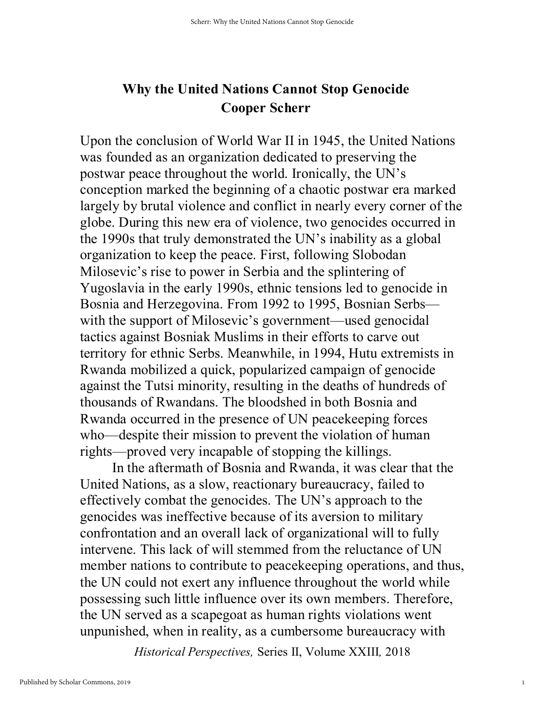## **Why the United Nations Cannot Stop Genocide Cooper Scherr**

Upon the conclusion of World War II in 1945, the United Nations was founded as an organization dedicated to preserving the postwar peace throughout the world. Ironically, the UN's conception marked the beginning of a chaotic postwar era marked largely by brutal violence and conflict in nearly every corner of the globe. During this new era of violence, two genocides occurred in the 1990s that truly demonstrated the UN's inability as a global organization to keep the peace. First, following Slobodan Milosevic's rise to power in Serbia and the splintering of Yugoslavia in the early 1990s, ethnic tensions led to genocide in Bosnia and Herzegovina. From 1992 to 1995, Bosnian Serbs with the support of Milosevic's government—used genocidal tactics against Bosniak Muslims in their efforts to carve out territory for ethnic Serbs. Meanwhile, in 1994, Hutu extremists in Rwanda mobilized a quick, popularized campaign of genocide against the Tutsi minority, resulting in the deaths of hundreds of thousands of Rwandans. The bloodshed in both Bosnia and Rwanda occurred in the presence of UN peacekeeping forces who—despite their mission to prevent the violation of human rights—proved very incapable of stopping the killings.

In the aftermath of Bosnia and Rwanda, it was clear that the United Nations, as a slow, reactionary bureaucracy, failed to effectively combat the genocides. The UN's approach to the genocides was ineffective because of its aversion to military confrontation and an overall lack of organizational will to fully intervene. This lack of will stemmed from the reluctance of UN member nations to contribute to peacekeeping operations, and thus, the UN could not exert any influence throughout the world while possessing such little influence over its own members. Therefore, the UN served as a scapegoat as human rights violations went unpunished, when in reality, as a cumbersome bureaucracy with

*Historical Perspectives,* Series II, Volume XXIII*,* 2018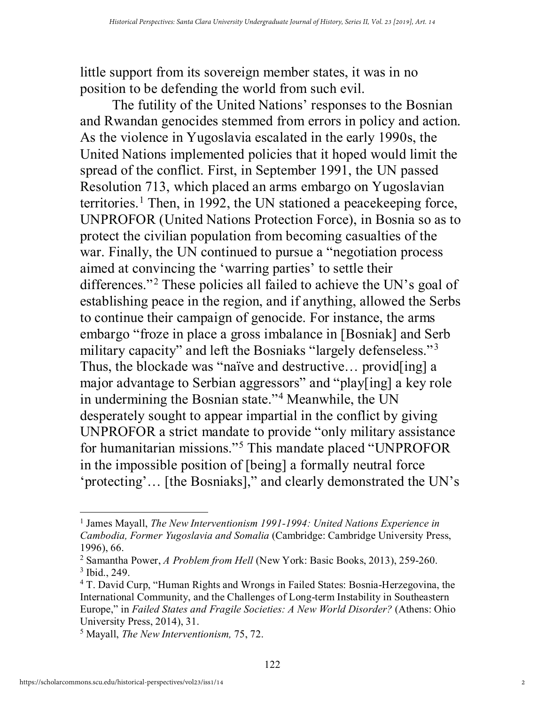little support from its sovereign member states, it was in no position to be defending the world from such evil.

The futility of the United Nations' responses to the Bosnian and Rwandan genocides stemmed from errors in policy and action. As the violence in Yugoslavia escalated in the early 1990s, the United Nations implemented policies that it hoped would limit the spread of the conflict. First, in September 1991, the UN passed Resolution 713, which placed an arms embargo on Yugoslavian territories.<sup>[1](#page-2-0)</sup> Then, in 1992, the UN stationed a peacekeeping force, UNPROFOR (United Nations Protection Force), in Bosnia so as to protect the civilian population from becoming casualties of the war. Finally, the UN continued to pursue a "negotiation process aimed at convincing the 'warring parties' to settle their differences."<sup>[2](#page-2-1)</sup> These policies all failed to achieve the UN's goal of establishing peace in the region, and if anything, allowed the Serbs to continue their campaign of genocide. For instance, the arms embargo "froze in place a gross imbalance in [Bosniak] and Serb military capacity" and left the Bosniaks "largely defenseless."<sup>[3](#page-2-2)</sup> Thus, the blockade was "naïve and destructive… provid[ing] a major advantage to Serbian aggressors" and "play[ing] a key role in undermining the Bosnian state."[4](#page-2-3) Meanwhile, the UN desperately sought to appear impartial in the conflict by giving UNPROFOR a strict mandate to provide "only military assistance for humanitarian missions."[5](#page-2-4) This mandate placed "UNPROFOR in the impossible position of [being] a formally neutral force 'protecting'… [the Bosniaks]," and clearly demonstrated the UN's

<span id="page-2-0"></span><sup>1</sup> James Mayall, *The New Interventionism 1991-1994: United Nations Experience in Cambodia, Former Yugoslavia and Somalia* (Cambridge: Cambridge University Press, 1996), 66.

<span id="page-2-2"></span><span id="page-2-1"></span><sup>2</sup> Samantha Power, *A Problem from Hell* (New York: Basic Books, 2013), 259-260. <sup>3</sup> Ibid., 249.

<span id="page-2-3"></span><sup>4</sup> T. David Curp, "Human Rights and Wrongs in Failed States: Bosnia-Herzegovina, the International Community, and the Challenges of Long-term Instability in Southeastern Europe," in *Failed States and Fragile Societies: A New World Disorder?* (Athens: Ohio University Press, 2014), 31.

<span id="page-2-4"></span><sup>5</sup> Mayall, *The New Interventionism,* 75, 72.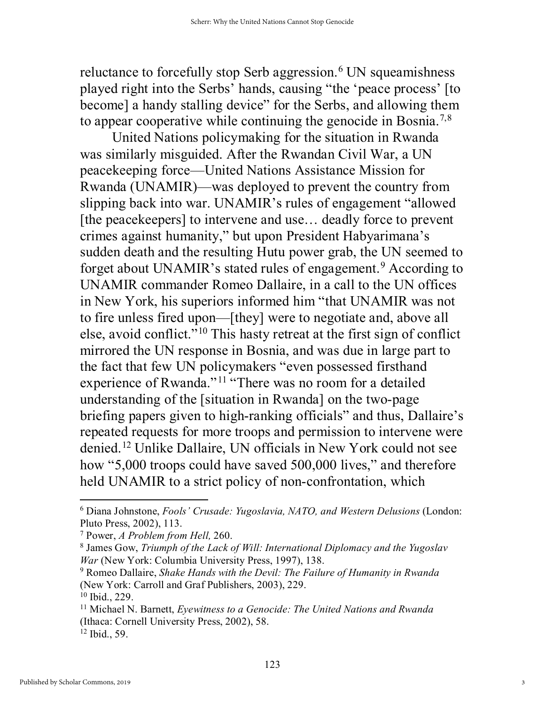reluctance to forcefully stop Serb aggression.<sup>[6](#page-3-0)</sup> UN squeamishness played right into the Serbs' hands, causing "the 'peace process' [to become] a handy stalling device" for the Serbs, and allowing them to appear cooperative while continuing the genocide in Bosnia.[7,](#page-3-1)[8](#page-3-2)

United Nations policymaking for the situation in Rwanda was similarly misguided. After the Rwandan Civil War, a UN peacekeeping force—United Nations Assistance Mission for Rwanda (UNAMIR)—was deployed to prevent the country from slipping back into war. UNAMIR's rules of engagement "allowed [the peacekeepers] to intervene and use... deadly force to prevent crimes against humanity," but upon President Habyarimana's sudden death and the resulting Hutu power grab, the UN seemed to forget about UNAMIR's stated rules of engagement.<sup>[9](#page-3-3)</sup> According to UNAMIR commander Romeo Dallaire, in a call to the UN offices in New York, his superiors informed him "that UNAMIR was not to fire unless fired upon—[they] were to negotiate and, above all else, avoid conflict."<sup>[10](#page-3-4)</sup> This hasty retreat at the first sign of conflict mirrored the UN response in Bosnia, and was due in large part to the fact that few UN policymakers "even possessed firsthand experience of Rwanda."<sup>[11](#page-3-5)</sup> "There was no room for a detailed understanding of the [situation in Rwanda] on the two-page briefing papers given to high-ranking officials" and thus, Dallaire's repeated requests for more troops and permission to intervene were denied.[12](#page-3-6) Unlike Dallaire, UN officials in New York could not see how "5,000 troops could have saved 500,000 lives," and therefore held UNAMIR to a strict policy of non-confrontation, which

<span id="page-3-0"></span><sup>6</sup> Diana Johnstone, *Fools' Crusade: Yugoslavia, NATO, and Western Delusions* (London: Pluto Press, 2002), 113.

<span id="page-3-1"></span><sup>7</sup> Power, *A Problem from Hell,* 260.

<span id="page-3-2"></span><sup>8</sup> James Gow, *Triumph of the Lack of Will: International Diplomacy and the Yugoslav War* (New York: Columbia University Press, 1997), 138.

<span id="page-3-3"></span><sup>9</sup> Romeo Dallaire, *Shake Hands with the Devil: The Failure of Humanity in Rwanda* (New York: Carroll and Graf Publishers, 2003), 229.

<span id="page-3-4"></span><sup>10</sup> Ibid., 229.

<span id="page-3-5"></span><sup>11</sup> Michael N. Barnett, *Eyewitness to a Genocide: The United Nations and Rwanda* (Ithaca: Cornell University Press, 2002), 58.

<span id="page-3-6"></span><sup>12</sup> Ibid., 59.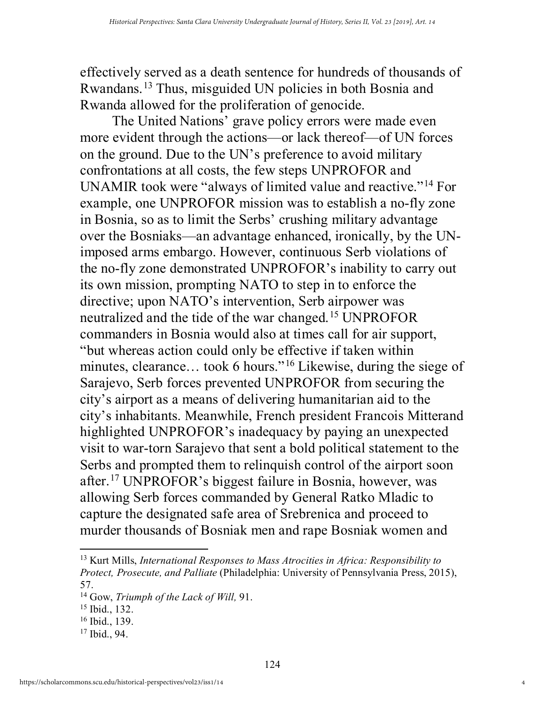effectively served as a death sentence for hundreds of thousands of Rwandans.[13](#page-4-0) Thus, misguided UN policies in both Bosnia and Rwanda allowed for the proliferation of genocide.

The United Nations' grave policy errors were made even more evident through the actions—or lack thereof—of UN forces on the ground. Due to the UN's preference to avoid military confrontations at all costs, the few steps UNPROFOR and UNAMIR took were "always of limited value and reactive."[14](#page-4-1) For example, one UNPROFOR mission was to establish a no-fly zone in Bosnia, so as to limit the Serbs' crushing military advantage over the Bosniaks—an advantage enhanced, ironically, by the UNimposed arms embargo. However, continuous Serb violations of the no-fly zone demonstrated UNPROFOR's inability to carry out its own mission, prompting NATO to step in to enforce the directive; upon NATO's intervention, Serb airpower was neutralized and the tide of the war changed.<sup>[15](#page-4-2)</sup> UNPROFOR commanders in Bosnia would also at times call for air support, "but whereas action could only be effective if taken within minutes, clearance... took 6 hours."<sup>16</sup> Likewise, during the siege of Sarajevo, Serb forces prevented UNPROFOR from securing the city's airport as a means of delivering humanitarian aid to the city's inhabitants. Meanwhile, French president Francois Mitterand highlighted UNPROFOR's inadequacy by paying an unexpected visit to war-torn Sarajevo that sent a bold political statement to the Serbs and prompted them to relinquish control of the airport soon after.[17](#page-4-4) UNPROFOR's biggest failure in Bosnia, however, was allowing Serb forces commanded by General Ratko Mladic to capture the designated safe area of Srebrenica and proceed to murder thousands of Bosniak men and rape Bosniak women and

<span id="page-4-0"></span><sup>13</sup> Kurt Mills, *International Responses to Mass Atrocities in Africa: Responsibility to Protect, Prosecute, and Palliate* (Philadelphia: University of Pennsylvania Press, 2015), 57.

<span id="page-4-1"></span><sup>14</sup> Gow, *Triumph of the Lack of Will,* 91.

<span id="page-4-2"></span><sup>15</sup> Ibid., 132.

<span id="page-4-3"></span><sup>16</sup> Ibid., 139.

<span id="page-4-4"></span><sup>17</sup> Ibid., 94.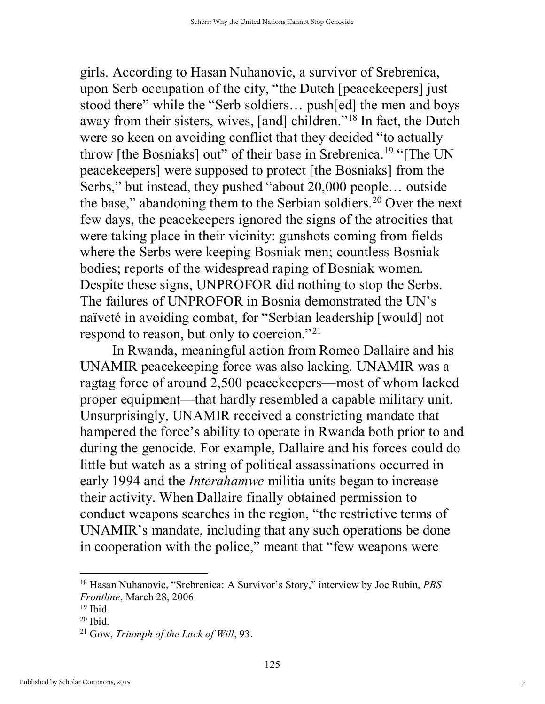girls. According to Hasan Nuhanovic, a survivor of Srebrenica, upon Serb occupation of the city, "the Dutch [peacekeepers] just stood there" while the "Serb soldiers… push[ed] the men and boys away from their sisters, wives, [and] children."[18](#page-5-0) In fact, the Dutch were so keen on avoiding conflict that they decided "to actually throw [the Bosniaks] out" of their base in Srebrenica.<sup>[19](#page-5-1)</sup> "[The UN] peacekeepers] were supposed to protect [the Bosniaks] from the Serbs," but instead, they pushed "about 20,000 people… outside the base," abandoning them to the Serbian soldiers.<sup>[20](#page-5-2)</sup> Over the next few days, the peacekeepers ignored the signs of the atrocities that were taking place in their vicinity: gunshots coming from fields where the Serbs were keeping Bosniak men; countless Bosniak bodies; reports of the widespread raping of Bosniak women. Despite these signs, UNPROFOR did nothing to stop the Serbs. The failures of UNPROFOR in Bosnia demonstrated the UN's naïveté in avoiding combat, for "Serbian leadership [would] not respond to reason, but only to coercion."<sup>[21](#page-5-3)</sup>

 In Rwanda, meaningful action from Romeo Dallaire and his UNAMIR peacekeeping force was also lacking. UNAMIR was a ragtag force of around 2,500 peacekeepers—most of whom lacked proper equipment—that hardly resembled a capable military unit. Unsurprisingly, UNAMIR received a constricting mandate that hampered the force's ability to operate in Rwanda both prior to and during the genocide. For example, Dallaire and his forces could do little but watch as a string of political assassinations occurred in early 1994 and the *Interahamwe* militia units began to increase their activity. When Dallaire finally obtained permission to conduct weapons searches in the region, "the restrictive terms of UNAMIR's mandate, including that any such operations be done in cooperation with the police," meant that "few weapons were

<span id="page-5-0"></span><sup>18</sup> Hasan Nuhanovic, "Srebrenica: A Survivor's Story," interview by Joe Rubin, *PBS Frontline*, March 28, 2006.

<span id="page-5-1"></span> $19$  Ibid.

<span id="page-5-2"></span> $20$  Ibid.

<span id="page-5-3"></span><sup>21</sup> Gow, *Triumph of the Lack of Will*, 93.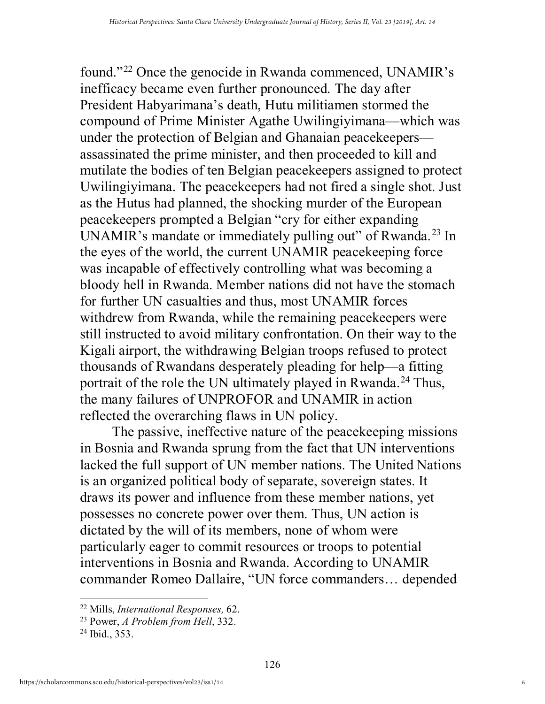found."[22](#page-6-0) Once the genocide in Rwanda commenced, UNAMIR's inefficacy became even further pronounced. The day after President Habyarimana's death, Hutu militiamen stormed the compound of Prime Minister Agathe Uwilingiyimana—which was under the protection of Belgian and Ghanaian peacekeepers assassinated the prime minister, and then proceeded to kill and mutilate the bodies of ten Belgian peacekeepers assigned to protect Uwilingiyimana. The peacekeepers had not fired a single shot. Just as the Hutus had planned, the shocking murder of the European peacekeepers prompted a Belgian "cry for either expanding UNAMIR's mandate or immediately pulling out" of Rwanda.<sup>[23](#page-6-1)</sup> In the eyes of the world, the current UNAMIR peacekeeping force was incapable of effectively controlling what was becoming a bloody hell in Rwanda. Member nations did not have the stomach for further UN casualties and thus, most UNAMIR forces withdrew from Rwanda, while the remaining peacekeepers were still instructed to avoid military confrontation. On their way to the Kigali airport, the withdrawing Belgian troops refused to protect thousands of Rwandans desperately pleading for help—a fitting portrait of the role the UN ultimately played in Rwanda.<sup>[24](#page-6-2)</sup> Thus, the many failures of UNPROFOR and UNAMIR in action reflected the overarching flaws in UN policy.

The passive, ineffective nature of the peacekeeping missions in Bosnia and Rwanda sprung from the fact that UN interventions lacked the full support of UN member nations. The United Nations is an organized political body of separate, sovereign states. It draws its power and influence from these member nations, yet possesses no concrete power over them. Thus, UN action is dictated by the will of its members, none of whom were particularly eager to commit resources or troops to potential interventions in Bosnia and Rwanda. According to UNAMIR commander Romeo Dallaire, "UN force commanders… depended

<span id="page-6-0"></span><sup>22</sup> Mills, *International Responses,* 62.

<span id="page-6-1"></span><sup>23</sup> Power, *A Problem from Hell*, 332.

<span id="page-6-2"></span><sup>24</sup> Ibid., 353.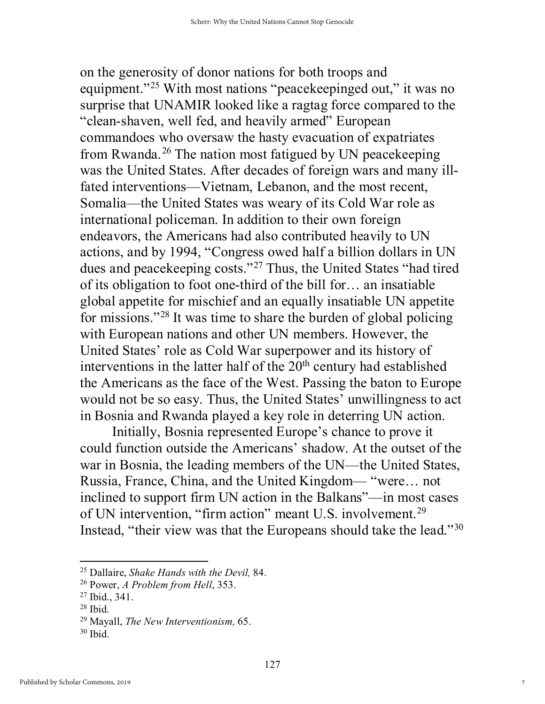on the generosity of donor nations for both troops and equipment."<sup>[25](#page-7-0)</sup> With most nations "peacekeepinged out," it was no surprise that UNAMIR looked like a ragtag force compared to the "clean-shaven, well fed, and heavily armed" European commandoes who oversaw the hasty evacuation of expatriates from Rwanda.[26](#page-7-1) The nation most fatigued by UN peacekeeping was the United States. After decades of foreign wars and many illfated interventions—Vietnam, Lebanon, and the most recent, Somalia—the United States was weary of its Cold War role as international policeman. In addition to their own foreign endeavors, the Americans had also contributed heavily to UN actions, and by 1994, "Congress owed half a billion dollars in UN dues and peacekeeping costs."[27](#page-7-2) Thus, the United States "had tired of its obligation to foot one-third of the bill for… an insatiable global appetite for mischief and an equally insatiable UN appetite for missions."[28](#page-7-3) It was time to share the burden of global policing with European nations and other UN members. However, the United States' role as Cold War superpower and its history of interventions in the latter half of the  $20<sup>th</sup>$  century had established the Americans as the face of the West. Passing the baton to Europe would not be so easy. Thus, the United States' unwillingness to act in Bosnia and Rwanda played a key role in deterring UN action.

Initially, Bosnia represented Europe's chance to prove it could function outside the Americans' shadow. At the outset of the war in Bosnia, the leading members of the UN—the United States, Russia, France, China, and the United Kingdom— "were… not inclined to support firm UN action in the Balkans"—in most cases of UN intervention, "firm action" meant U.S. involvement.[29](#page-7-4) Instead, "their view was that the Europeans should take the lead."[30](#page-7-5)

<span id="page-7-0"></span><sup>25</sup> Dallaire, *Shake Hands with the Devil,* 84.

<span id="page-7-1"></span><sup>26</sup> Power, *A Problem from Hell*, 353.

<span id="page-7-2"></span><sup>27</sup> Ibid., 341.

<span id="page-7-3"></span><sup>28</sup> Ibid.

<span id="page-7-4"></span><sup>29</sup> Mayall, *The New Interventionism,* 65.

<span id="page-7-5"></span><sup>30</sup> Ibid.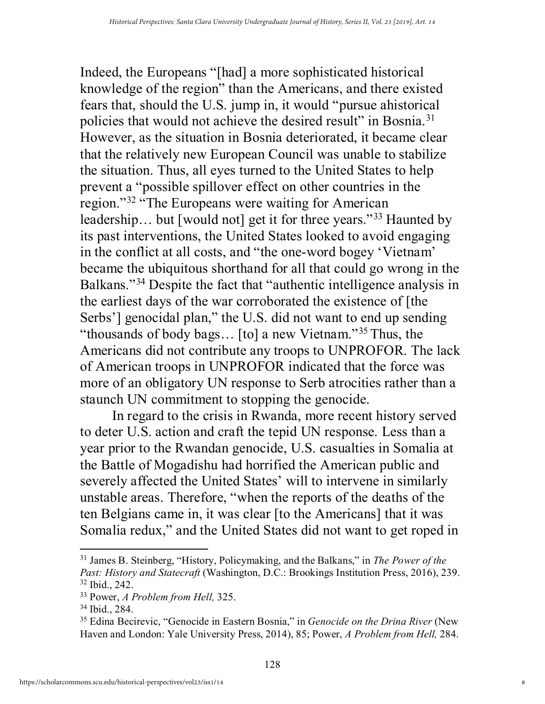Indeed, the Europeans "[had] a more sophisticated historical knowledge of the region" than the Americans, and there existed fears that, should the U.S. jump in, it would "pursue ahistorical policies that would not achieve the desired result" in Bosnia.[31](#page-8-0) However, as the situation in Bosnia deteriorated, it became clear that the relatively new European Council was unable to stabilize the situation. Thus, all eyes turned to the United States to help prevent a "possible spillover effect on other countries in the region."[32](#page-8-1) "The Europeans were waiting for American leadership... but [would not] get it for three years."<sup>[33](#page-8-2)</sup> Haunted by its past interventions, the United States looked to avoid engaging in the conflict at all costs, and "the one-word bogey 'Vietnam' became the ubiquitous shorthand for all that could go wrong in the Balkans."[34](#page-8-3) Despite the fact that "authentic intelligence analysis in the earliest days of the war corroborated the existence of [the Serbs'] genocidal plan," the U.S. did not want to end up sending "thousands of body bags... [to] a new Vietnam."<sup>[35](#page-8-4)</sup> Thus, the Americans did not contribute any troops to UNPROFOR. The lack of American troops in UNPROFOR indicated that the force was more of an obligatory UN response to Serb atrocities rather than a staunch UN commitment to stopping the genocide.

In regard to the crisis in Rwanda, more recent history served to deter U.S. action and craft the tepid UN response. Less than a year prior to the Rwandan genocide, U.S. casualties in Somalia at the Battle of Mogadishu had horrified the American public and severely affected the United States' will to intervene in similarly unstable areas. Therefore, "when the reports of the deaths of the ten Belgians came in, it was clear [to the Americans] that it was Somalia redux," and the United States did not want to get roped in

<span id="page-8-0"></span><sup>31</sup> James B. Steinberg, "History, Policymaking, and the Balkans," in *The Power of the Past: History and Statecraft* (Washington, D.C.: Brookings Institution Press, 2016), 239. <sup>32</sup> Ibid., 242.

<span id="page-8-2"></span><span id="page-8-1"></span><sup>33</sup> Power, *A Problem from Hell,* 325.

<span id="page-8-3"></span><sup>34</sup> Ibid., 284.

<span id="page-8-4"></span><sup>35</sup> Edina Becirevic, "Genocide in Eastern Bosnia," in *Genocide on the Drina River* (New Haven and London: Yale University Press, 2014), 85; Power, *A Problem from Hell,* 284.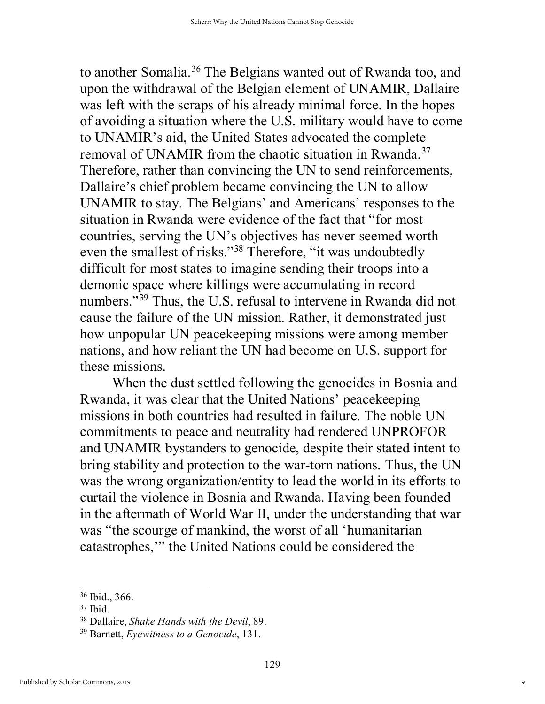to another Somalia.<sup>[36](#page-9-0)</sup> The Belgians wanted out of Rwanda too, and upon the withdrawal of the Belgian element of UNAMIR, Dallaire was left with the scraps of his already minimal force. In the hopes of avoiding a situation where the U.S. military would have to come to UNAMIR's aid, the United States advocated the complete removal of UNAMIR from the chaotic situation in Rwanda.[37](#page-9-1) Therefore, rather than convincing the UN to send reinforcements, Dallaire's chief problem became convincing the UN to allow UNAMIR to stay. The Belgians' and Americans' responses to the situation in Rwanda were evidence of the fact that "for most countries, serving the UN's objectives has never seemed worth even the smallest of risks."[38](#page-9-2) Therefore, "it was undoubtedly difficult for most states to imagine sending their troops into a demonic space where killings were accumulating in record numbers."<sup>39</sup> Thus, the U.S. refusal to intervene in Rwanda did not cause the failure of the UN mission. Rather, it demonstrated just how unpopular UN peacekeeping missions were among member nations, and how reliant the UN had become on U.S. support for these missions.

When the dust settled following the genocides in Bosnia and Rwanda, it was clear that the United Nations' peacekeeping missions in both countries had resulted in failure. The noble UN commitments to peace and neutrality had rendered UNPROFOR and UNAMIR bystanders to genocide, despite their stated intent to bring stability and protection to the war-torn nations. Thus, the UN was the wrong organization/entity to lead the world in its efforts to curtail the violence in Bosnia and Rwanda. Having been founded in the aftermath of World War II, under the understanding that war was "the scourge of mankind, the worst of all 'humanitarian catastrophes,'" the United Nations could be considered the

<span id="page-9-1"></span><span id="page-9-0"></span><sup>36</sup> Ibid., 366.

<sup>37</sup> Ibid.

<span id="page-9-2"></span><sup>38</sup> Dallaire, *Shake Hands with the Devil*, 89.

<span id="page-9-3"></span><sup>39</sup> Barnett, *Eyewitness to a Genocide*, 131.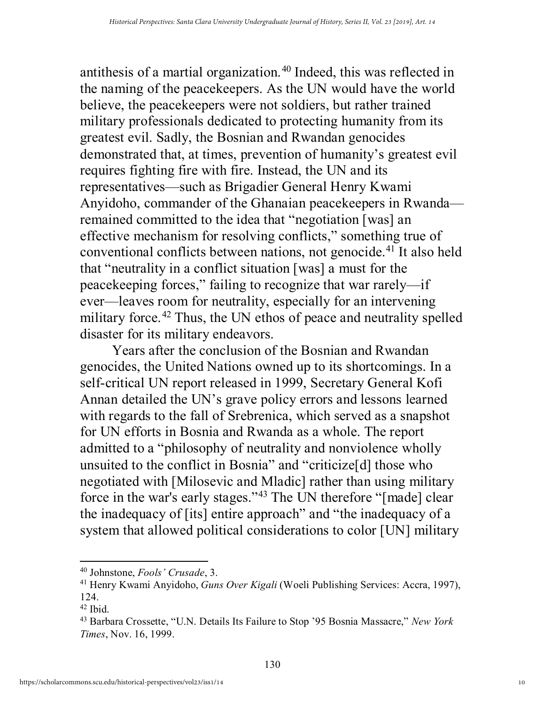antithesis of a martial organization.<sup>[40](#page-10-0)</sup> Indeed, this was reflected in the naming of the peacekeepers. As the UN would have the world believe, the peacekeepers were not soldiers, but rather trained military professionals dedicated to protecting humanity from its greatest evil. Sadly, the Bosnian and Rwandan genocides demonstrated that, at times, prevention of humanity's greatest evil requires fighting fire with fire. Instead, the UN and its representatives—such as Brigadier General Henry Kwami Anyidoho, commander of the Ghanaian peacekeepers in Rwanda remained committed to the idea that "negotiation [was] an effective mechanism for resolving conflicts," something true of conventional conflicts between nations, not genocide.[41](#page-10-1) It also held that "neutrality in a conflict situation [was] a must for the peacekeeping forces," failing to recognize that war rarely—if ever—leaves room for neutrality, especially for an intervening military force.<sup>[42](#page-10-2)</sup> Thus, the UN ethos of peace and neutrality spelled disaster for its military endeavors.

Years after the conclusion of the Bosnian and Rwandan genocides, the United Nations owned up to its shortcomings. In a self-critical UN report released in 1999, Secretary General Kofi Annan detailed the UN's grave policy errors and lessons learned with regards to the fall of Srebrenica, which served as a snapshot for UN efforts in Bosnia and Rwanda as a whole. The report admitted to a "philosophy of neutrality and nonviolence wholly unsuited to the conflict in Bosnia" and "criticize[d] those who negotiated with [Milosevic and Mladic] rather than using military force in the war's early stages."[43](#page-10-3) The UN therefore "[made] clear the inadequacy of [its] entire approach" and "the inadequacy of a system that allowed political considerations to color [UN] military

<span id="page-10-0"></span><sup>40</sup> Johnstone, *Fools' Crusade*, 3.

<span id="page-10-1"></span><sup>41</sup> Henry Kwami Anyidoho, *Guns Over Kigali* (Woeli Publishing Services: Accra, 1997), 124.

<span id="page-10-2"></span> $42$  Ibid.

<span id="page-10-3"></span><sup>43</sup> Barbara Crossette, "U.N. Details Its Failure to Stop '95 Bosnia Massacre," *New York Times*, Nov. 16, 1999.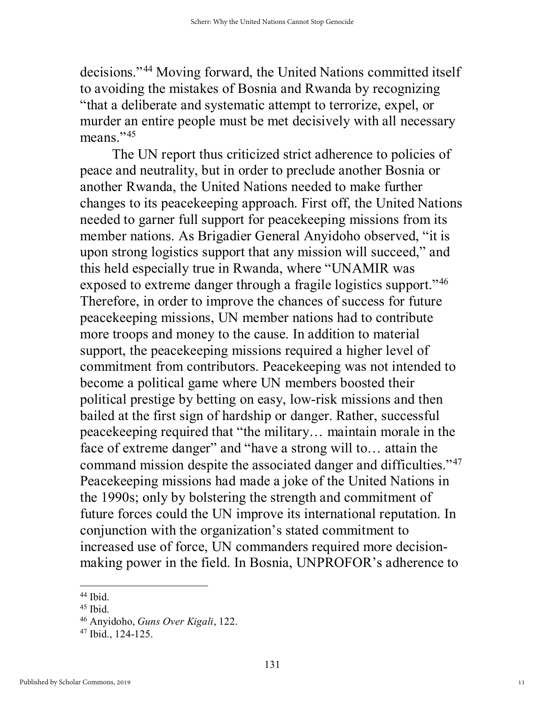decisions."[44](#page-11-0) Moving forward, the United Nations committed itself to avoiding the mistakes of Bosnia and Rwanda by recognizing "that a deliberate and systematic attempt to terrorize, expel, or murder an entire people must be met decisively with all necessary means." $45$ 

The UN report thus criticized strict adherence to policies of peace and neutrality, but in order to preclude another Bosnia or another Rwanda, the United Nations needed to make further changes to its peacekeeping approach. First off, the United Nations needed to garner full support for peacekeeping missions from its member nations. As Brigadier General Anyidoho observed, "it is upon strong logistics support that any mission will succeed," and this held especially true in Rwanda, where "UNAMIR was exposed to extreme danger through a fragile logistics support."<sup>[46](#page-11-2)</sup> Therefore, in order to improve the chances of success for future peacekeeping missions, UN member nations had to contribute more troops and money to the cause. In addition to material support, the peacekeeping missions required a higher level of commitment from contributors. Peacekeeping was not intended to become a political game where UN members boosted their political prestige by betting on easy, low-risk missions and then bailed at the first sign of hardship or danger. Rather, successful peacekeeping required that "the military… maintain morale in the face of extreme danger" and "have a strong will to... attain the command mission despite the associated danger and difficulties."[47](#page-11-3) Peacekeeping missions had made a joke of the United Nations in the 1990s; only by bolstering the strength and commitment of future forces could the UN improve its international reputation. In conjunction with the organization's stated commitment to increased use of force, UN commanders required more decisionmaking power in the field. In Bosnia, UNPROFOR's adherence to

<span id="page-11-0"></span><sup>44</sup> Ibid.

<span id="page-11-1"></span> $45$  Ibid.

<span id="page-11-2"></span><sup>46</sup> Anyidoho, *Guns Over Kigali*, 122.

<span id="page-11-3"></span><sup>47</sup> Ibid., 124-125.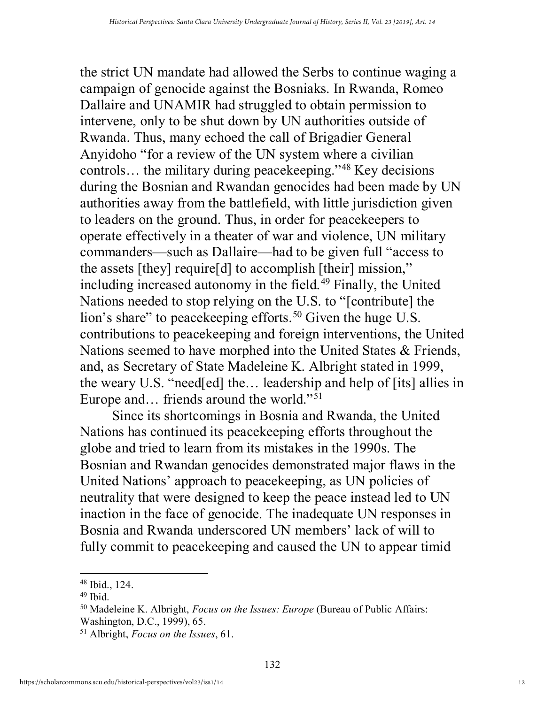the strict UN mandate had allowed the Serbs to continue waging a campaign of genocide against the Bosniaks. In Rwanda, Romeo Dallaire and UNAMIR had struggled to obtain permission to intervene, only to be shut down by UN authorities outside of Rwanda. Thus, many echoed the call of Brigadier General Anyidoho "for a review of the UN system where a civilian controls… the military during peacekeeping."[48](#page-12-0) Key decisions during the Bosnian and Rwandan genocides had been made by UN authorities away from the battlefield, with little jurisdiction given to leaders on the ground. Thus, in order for peacekeepers to operate effectively in a theater of war and violence, UN military commanders—such as Dallaire—had to be given full "access to the assets [they] require[d] to accomplish [their] mission," including increased autonomy in the field.<sup>[49](#page-12-1)</sup> Finally, the United Nations needed to stop relying on the U.S. to "[contribute] the lion's share" to peace keeping efforts.<sup>[50](#page-12-2)</sup> Given the huge U.S. contributions to peacekeeping and foreign interventions, the United Nations seemed to have morphed into the United States & Friends, and, as Secretary of State Madeleine K. Albright stated in 1999, the weary U.S. "need[ed] the… leadership and help of [its] allies in Europe and... friends around the world."<sup>[51](#page-12-3)</sup>

 Since its shortcomings in Bosnia and Rwanda, the United Nations has continued its peacekeeping efforts throughout the globe and tried to learn from its mistakes in the 1990s. The Bosnian and Rwandan genocides demonstrated major flaws in the United Nations' approach to peacekeeping, as UN policies of neutrality that were designed to keep the peace instead led to UN inaction in the face of genocide. The inadequate UN responses in Bosnia and Rwanda underscored UN members' lack of will to fully commit to peacekeeping and caused the UN to appear timid

<span id="page-12-0"></span><sup>48</sup> Ibid., 124.

<span id="page-12-1"></span> $49$  Ibid.

<span id="page-12-2"></span><sup>50</sup> Madeleine K. Albright, *Focus on the Issues: Europe* (Bureau of Public Affairs: Washington, D.C., 1999), 65.

<span id="page-12-3"></span><sup>51</sup> Albright, *Focus on the Issues*, 61.